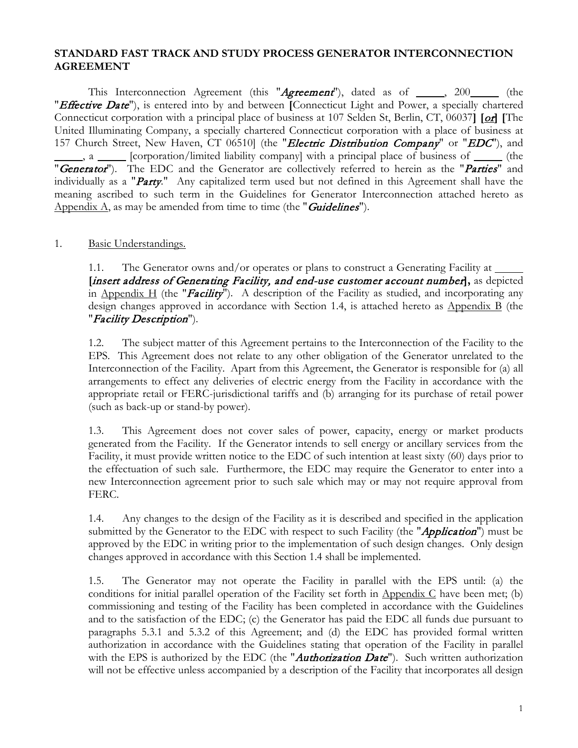#### **STANDARD FAST TRACK AND STUDY PROCESS GENERATOR INTERCONNECTION AGREEMENT**

This Interconnection Agreement (this "Agreement"), dated as of \_\_\_\_, 200\_\_\_\_ (the "Effective Date"), is entered into by and between **[**Connecticut Light and Power, a specially chartered Connecticut corporation with a principal place of business at 107 Selden St, Berlin, CT, 06037**] [**or**] [**The United Illuminating Company, a specially chartered Connecticut corporation with a place of business at 157 Church Street, New Haven, CT 06510] (the "*Electric Distribution Company*" or "*EDC*"), and  $\Box$ , a  $\Box$  [corporation/limited liability company] with a principal place of business of  $\Box$  (the "Generator"). The EDC and the Generator are collectively referred to herein as the "Parties" and individually as a "Party." Any capitalized term used but not defined in this Agreement shall have the meaning ascribed to such term in the Guidelines for Generator Interconnection attached hereto as Appendix  $\Lambda$ , as may be amended from time to time (the "*Guidelines*").

#### 1. Basic Understandings.

1.1. The Generator owns and/or operates or plans to construct a Generating Facility at  $\frac{1}{\sqrt{1-\frac{1}{n}}}$ **[**insert address of Generating Facility, and end-use customer account number**],** as depicted in Appendix H (the "Facility"). A description of the Facility as studied, and incorporating any design changes approved in accordance with Section [1.4,](#page-0-0) is attached hereto as Appendix B (the "Facility Description").

1.2. The subject matter of this Agreement pertains to the Interconnection of the Facility to the EPS. This Agreement does not relate to any other obligation of the Generator unrelated to the Interconnection of the Facility. Apart from this Agreement, the Generator is responsible for (a) all arrangements to effect any deliveries of electric energy from the Facility in accordance with the appropriate retail or FERC-jurisdictional tariffs and (b) arranging for its purchase of retail power (such as back-up or stand-by power).

1.3. This Agreement does not cover sales of power, capacity, energy or market products generated from the Facility. If the Generator intends to sell energy or ancillary services from the Facility, it must provide written notice to the EDC of such intention at least sixty (60) days prior to the effectuation of such sale. Furthermore, the EDC may require the Generator to enter into a new Interconnection agreement prior to such sale which may or may not require approval from FERC.

<span id="page-0-0"></span>1.4. Any changes to the design of the Facility as it is described and specified in the application submitted by the Generator to the EDC with respect to such Facility (the "*Application*") must be approved by the EDC in writing prior to the implementation of such design changes. Only design changes approved in accordance with this Section [1.4](#page-0-0) shall be implemented.

1.5. The Generator may not operate the Facility in parallel with the EPS until: (a) the conditions for initial parallel operation of the Facility set forth in  $\Delta$ ppendix C have been met; (b) commissioning and testing of the Facility has been completed in accordance with the Guidelines and to the satisfaction of the EDC; (c) the Generator has paid the EDC all funds due pursuant to paragraphs 5.3.1 and 5.3.2 of this Agreement; and (d) the EDC has provided formal written authorization in accordance with the Guidelines stating that operation of the Facility in parallel with the EPS is authorized by the EDC (the "*Authorization Date*"). Such written authorization will not be effective unless accompanied by a description of the Facility that incorporates all design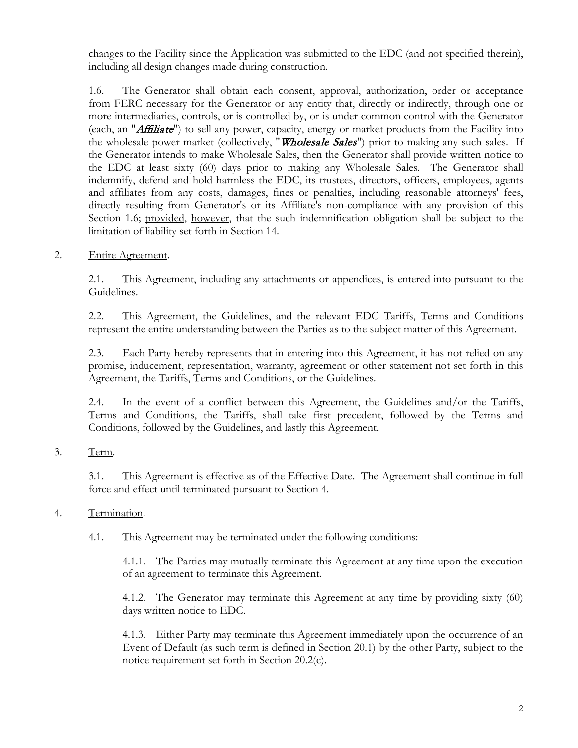changes to the Facility since the Application was submitted to the EDC (and not specified therein), including all design changes made during construction.

<span id="page-1-0"></span>1.6. The Generator shall obtain each consent, approval, authorization, order or acceptance from FERC necessary for the Generator or any entity that, directly or indirectly, through one or more intermediaries, controls, or is controlled by, or is under common control with the Generator (each, an "*Affiliate*") to sell any power, capacity, energy or market products from the Facility into the wholesale power market (collectively, "*Wholesale Sales*") prior to making any such sales. If the Generator intends to make Wholesale Sales, then the Generator shall provide written notice to the EDC at least sixty (60) days prior to making any Wholesale Sales. The Generator shall indemnify, defend and hold harmless the EDC, its trustees, directors, officers, employees, agents and affiliates from any costs, damages, fines or penalties, including reasonable attorneys' fees, directly resulting from Generator's or its Affiliate's non-compliance with any provision of this Section [1.6;](#page-1-0) provided, however, that the such indemnification obligation shall be subject to the limitation of liability set forth in Section [14.](#page-9-0)

2. Entire Agreement.

2.1. This Agreement, including any attachments or appendices, is entered into pursuant to the Guidelines.

2.2. This Agreement, the Guidelines, and the relevant EDC Tariffs, Terms and Conditions represent the entire understanding between the Parties as to the subject matter of this Agreement.

2.3. Each Party hereby represents that in entering into this Agreement, it has not relied on any promise, inducement, representation, warranty, agreement or other statement not set forth in this Agreement, the Tariffs, Terms and Conditions, or the Guidelines.

2.4. In the event of a conflict between this Agreement, the Guidelines and/or the Tariffs, Terms and Conditions, the Tariffs, shall take first precedent, followed by the Terms and Conditions, followed by the Guidelines, and lastly this Agreement.

3. Term.

3.1. This Agreement is effective as of the Effective Date. The Agreement shall continue in full force and effect until terminated pursuant to Section [4.](#page-1-1)

#### <span id="page-1-1"></span>4. Termination.

4.1. This Agreement may be terminated under the following conditions:

4.1.1. The Parties may mutually terminate this Agreement at any time upon the execution of an agreement to terminate this Agreement.

4.1.2. The Generator may terminate this Agreement at any time by providing sixty (60) days written notice to EDC.

4.1.3. Either Party may terminate this Agreement immediately upon the occurrence of an Event of Default (as such term is defined in Section [20.1\)](#page-11-0) by the other Party, subject to the notice requirement set forth in Section [20.2\(](#page-11-1)c).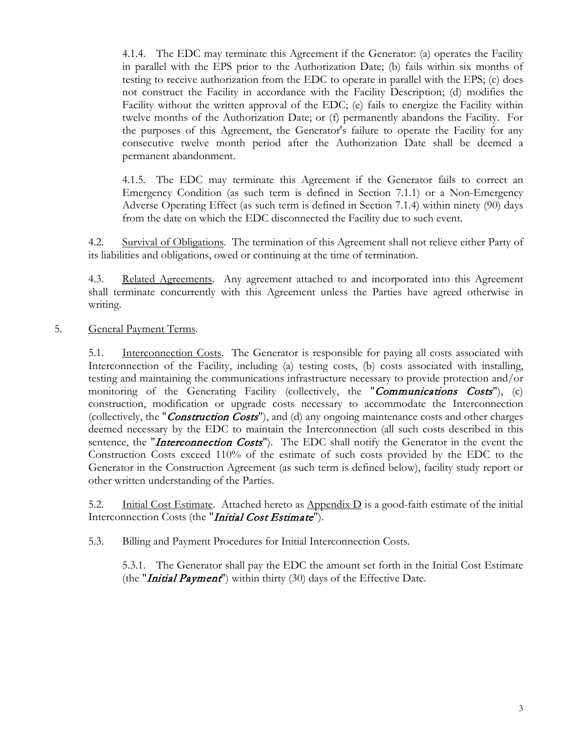4.1.4. The EDC may terminate this Agreement if the Generator: (a) operates the Facility in parallel with the EPS prior to the Authorization Date; (b) fails within six months of testing to receive authorization from the EDC to operate in parallel with the EPS; (c) does not construct the Facility in accordance with the Facility Description; (d) modifies the Facility without the written approval of the EDC; (e) fails to energize the Facility within twelve months of the Authorization Date; or (f) permanently abandons the Facility. For the purposes of this Agreement, the Generator's failure to operate the Facility for any consecutive twelve month period after the Authorization Date shall be deemed a permanent abandonment.

4.1.5. The EDC may terminate this Agreement if the Generator fails to correct an Emergency Condition (as such term is defined in Section [7.1.1\)](#page-5-0) or a Non-Emergency Adverse Operating Effect (as such term is defined in Section [7.1.4\)](#page-6-0) within ninety (90) days from the date on which the EDC disconnected the Facility due to such event.

4.2. Survival of Obligations. The termination of this Agreement shall not relieve either Party of its liabilities and obligations, owed or continuing at the time of termination.

4.3. Related Agreements. Any agreement attached to and incorporated into this Agreement shall terminate concurrently with this Agreement unless the Parties have agreed otherwise in writing.

5. General Payment Terms.

5.1. Interconnection Costs. The Generator is responsible for paying all costs associated with Interconnection of the Facility, including (a) testing costs, (b) costs associated with installing, testing and maintaining the communications infrastructure necessary to provide protection and/or monitoring of the Generating Facility (collectively, the "Communications Costs"), (c) construction, modification or upgrade costs necessary to accommodate the Interconnection (collectively, the "*Construction Costs*"), and (d) any ongoing maintenance costs and other charges deemed necessary by the EDC to maintain the Interconnection (all such costs described in this sentence, the "*Interconnection Costs*"). The EDC shall notify the Generator in the event the Construction Costs exceed 110% of the estimate of such costs provided by the EDC to the Generator in the Construction Agreement (as such term is defined below), facility study report or other written understanding of the Parties.

5.2. Initial Cost Estimate. Attached hereto as  $\Delta$ ppendix D is a good-faith estimate of the initial Interconnection Costs (the "*Initial Cost Estimate*").

5.3. Billing and Payment Procedures for Initial Interconnection Costs.

5.3.1. The Generator shall pay the EDC the amount set forth in the Initial Cost Estimate (the "*Initial Payment*") within thirty (30) days of the Effective Date.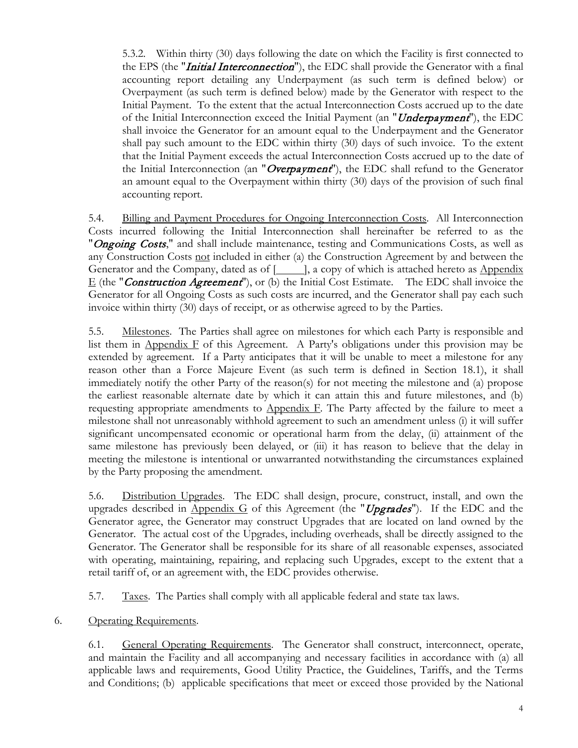5.3.2. Within thirty (30) days following the date on which the Facility is first connected to the EPS (the "*Initial Interconnection*"), the EDC shall provide the Generator with a final accounting report detailing any Underpayment (as such term is defined below) or Overpayment (as such term is defined below) made by the Generator with respect to the Initial Payment. To the extent that the actual Interconnection Costs accrued up to the date of the Initial Interconnection exceed the Initial Payment (an "*Underpayment*"), the EDC shall invoice the Generator for an amount equal to the Underpayment and the Generator shall pay such amount to the EDC within thirty (30) days of such invoice. To the extent that the Initial Payment exceeds the actual Interconnection Costs accrued up to the date of the Initial Interconnection (an "Overpayment"), the EDC shall refund to the Generator an amount equal to the Overpayment within thirty (30) days of the provision of such final accounting report.

5.4. Billing and Payment Procedures for Ongoing Interconnection Costs. All Interconnection Costs incurred following the Initial Interconnection shall hereinafter be referred to as the "Ongoing Costs," and shall include maintenance, testing and Communications Costs, as well as any Construction Costs not included in either (a) the Construction Agreement by and between the Generator and the Company, dated as of  $[\_\_\]$ , a copy of which is attached hereto as Appendix  $E$  (the "*Construction Agreement*"), or (b) the Initial Cost Estimate. The EDC shall invoice the Generator for all Ongoing Costs as such costs are incurred, and the Generator shall pay each such invoice within thirty (30) days of receipt, or as otherwise agreed to by the Parties.

5.5. Milestones. The Parties shall agree on milestones for which each Party is responsible and list them in Appendix  $F$  of this Agreement. A Party's obligations under this provision may be extended by agreement. If a Party anticipates that it will be unable to meet a milestone for any reason other than a Force Majeure Event (as such term is defined in Section 18.1), it shall immediately notify the other Party of the reason(s) for not meeting the milestone and (a) propose the earliest reasonable alternate date by which it can attain this and future milestones, and (b) requesting appropriate amendments to Appendix F. The Party affected by the failure to meet a milestone shall not unreasonably withhold agreement to such an amendment unless (i) it will suffer significant uncompensated economic or operational harm from the delay, (ii) attainment of the same milestone has previously been delayed, or (iii) it has reason to believe that the delay in meeting the milestone is intentional or unwarranted notwithstanding the circumstances explained by the Party proposing the amendment.

5.6. Distribution Upgrades. The EDC shall design, procure, construct, install, and own the upgrades described in Appendix G of this Agreement (the "Upgrades"). If the EDC and the Generator agree, the Generator may construct Upgrades that are located on land owned by the Generator. The actual cost of the Upgrades, including overheads, shall be directly assigned to the Generator. The Generator shall be responsible for its share of all reasonable expenses, associated with operating, maintaining, repairing, and replacing such Upgrades, except to the extent that a retail tariff of, or an agreement with, the EDC provides otherwise.

5.7. Taxes. The Parties shall comply with all applicable federal and state tax laws.

## <span id="page-3-0"></span>6. Operating Requirements.

6.1. General Operating Requirements. The Generator shall construct, interconnect, operate, and maintain the Facility and all accompanying and necessary facilities in accordance with (a) all applicable laws and requirements, Good Utility Practice, the Guidelines, Tariffs, and the Terms and Conditions; (b) applicable specifications that meet or exceed those provided by the National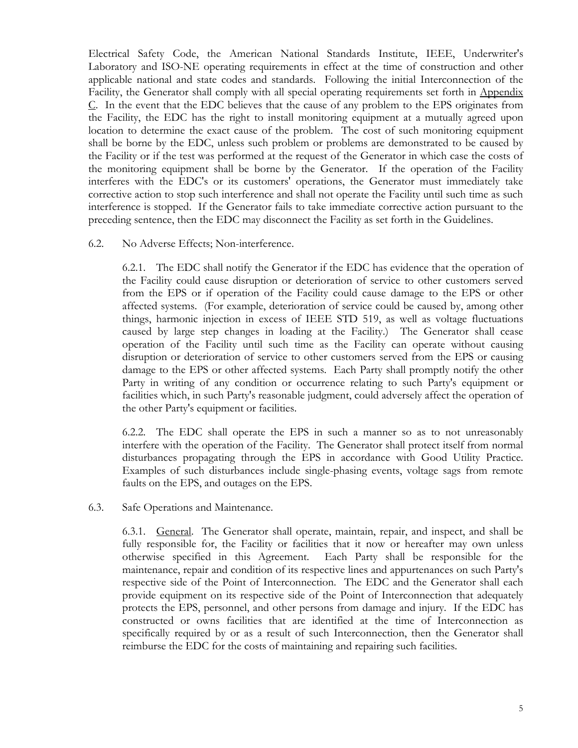Electrical Safety Code, the American National Standards Institute, IEEE, Underwriter's Laboratory and ISO-NE operating requirements in effect at the time of construction and other applicable national and state codes and standards. Following the initial Interconnection of the Facility, the Generator shall comply with all special operating requirements set forth in Appendix C. In the event that the EDC believes that the cause of any problem to the EPS originates from the Facility, the EDC has the right to install monitoring equipment at a mutually agreed upon location to determine the exact cause of the problem. The cost of such monitoring equipment shall be borne by the EDC, unless such problem or problems are demonstrated to be caused by the Facility or if the test was performed at the request of the Generator in which case the costs of the monitoring equipment shall be borne by the Generator. If the operation of the Facility interferes with the EDC's or its customers' operations, the Generator must immediately take corrective action to stop such interference and shall not operate the Facility until such time as such interference is stopped. If the Generator fails to take immediate corrective action pursuant to the preceding sentence, then the EDC may disconnect the Facility as set forth in the Guidelines.

#### 6.2. No Adverse Effects; Non-interference.

6.2.1. The EDC shall notify the Generator if the EDC has evidence that the operation of the Facility could cause disruption or deterioration of service to other customers served from the EPS or if operation of the Facility could cause damage to the EPS or other affected systems. (For example, deterioration of service could be caused by, among other things, harmonic injection in excess of IEEE STD 519, as well as voltage fluctuations caused by large step changes in loading at the Facility.) The Generator shall cease operation of the Facility until such time as the Facility can operate without causing disruption or deterioration of service to other customers served from the EPS or causing damage to the EPS or other affected systems. Each Party shall promptly notify the other Party in writing of any condition or occurrence relating to such Party's equipment or facilities which, in such Party's reasonable judgment, could adversely affect the operation of the other Party's equipment or facilities.

6.2.2. The EDC shall operate the EPS in such a manner so as to not unreasonably interfere with the operation of the Facility. The Generator shall protect itself from normal disturbances propagating through the EPS in accordance with Good Utility Practice. Examples of such disturbances include single-phasing events, voltage sags from remote faults on the EPS, and outages on the EPS.

#### 6.3. Safe Operations and Maintenance.

6.3.1. General. The Generator shall operate, maintain, repair, and inspect, and shall be fully responsible for, the Facility or facilities that it now or hereafter may own unless otherwise specified in this Agreement. Each Party shall be responsible for the maintenance, repair and condition of its respective lines and appurtenances on such Party's respective side of the Point of Interconnection. The EDC and the Generator shall each provide equipment on its respective side of the Point of Interconnection that adequately protects the EPS, personnel, and other persons from damage and injury. If the EDC has constructed or owns facilities that are identified at the time of Interconnection as specifically required by or as a result of such Interconnection, then the Generator shall reimburse the EDC for the costs of maintaining and repairing such facilities.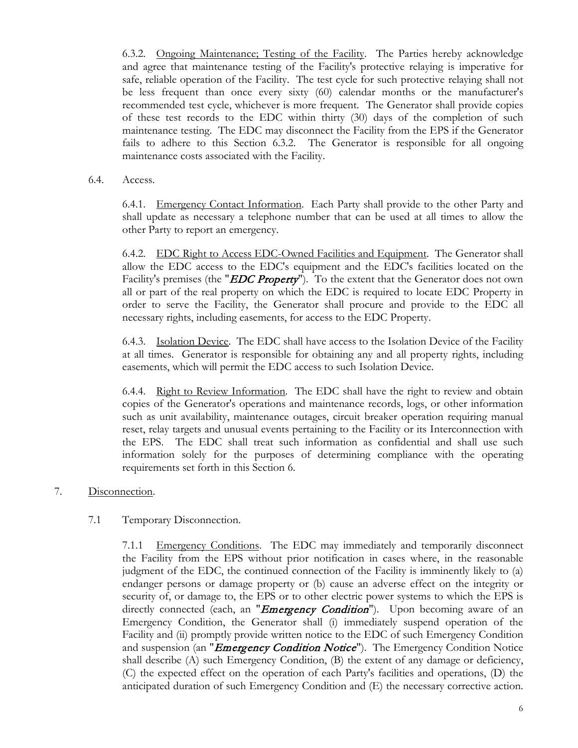6.3.2. Ongoing Maintenance; Testing of the Facility. The Parties hereby acknowledge and agree that maintenance testing of the Facility's protective relaying is imperative for safe, reliable operation of the Facility. The test cycle for such protective relaying shall not be less frequent than once every sixty (60) calendar months or the manufacturer's recommended test cycle, whichever is more frequent. The Generator shall provide copies of these test records to the EDC within thirty (30) days of the completion of such maintenance testing. The EDC may disconnect the Facility from the EPS if the Generator fails to adhere to this Section 6.3.2. The Generator is responsible for all ongoing maintenance costs associated with the Facility.

6.4. Access.

6.4.1. Emergency Contact Information. Each Party shall provide to the other Party and shall update as necessary a telephone number that can be used at all times to allow the other Party to report an emergency.

6.4.2. EDC Right to Access EDC-Owned Facilities and Equipment. The Generator shall allow the EDC access to the EDC's equipment and the EDC's facilities located on the Facility's premises (the "*EDC Property*"). To the extent that the Generator does not own all or part of the real property on which the EDC is required to locate EDC Property in order to serve the Facility, the Generator shall procure and provide to the EDC all necessary rights, including easements, for access to the EDC Property.

6.4.3. Isolation Device. The EDC shall have access to the Isolation Device of the Facility at all times. Generator is responsible for obtaining any and all property rights, including easements, which will permit the EDC access to such Isolation Device.

6.4.4. Right to Review Information. The EDC shall have the right to review and obtain copies of the Generator's operations and maintenance records, logs, or other information such as unit availability, maintenance outages, circuit breaker operation requiring manual reset, relay targets and unusual events pertaining to the Facility or its Interconnection with the EPS. The EDC shall treat such information as confidential and shall use such information solely for the purposes of determining compliance with the operating requirements set forth in this Section [6.](#page-3-0)

7. Disconnection.

## 7.1 Temporary Disconnection.

<span id="page-5-0"></span>7.1.1 Emergency Conditions. The EDC may immediately and temporarily disconnect the Facility from the EPS without prior notification in cases where, in the reasonable judgment of the EDC, the continued connection of the Facility is imminently likely to (a) endanger persons or damage property or (b) cause an adverse effect on the integrity or security of, or damage to, the EPS or to other electric power systems to which the EPS is directly connected (each, an "*Emergency Condition*"). Upon becoming aware of an Emergency Condition, the Generator shall (i) immediately suspend operation of the Facility and (ii) promptly provide written notice to the EDC of such Emergency Condition and suspension (an "*Emergency Condition Notice*"). The Emergency Condition Notice shall describe (A) such Emergency Condition, (B) the extent of any damage or deficiency, (C) the expected effect on the operation of each Party's facilities and operations, (D) the anticipated duration of such Emergency Condition and (E) the necessary corrective action.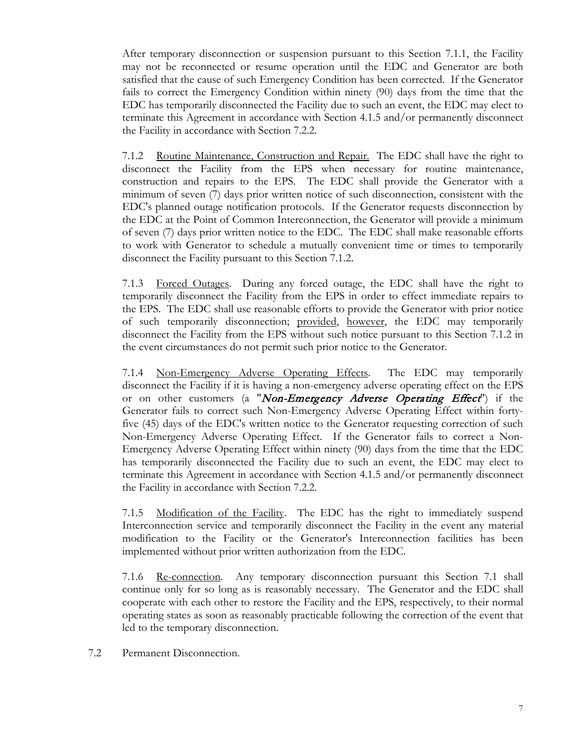After temporary disconnection or suspension pursuant to this Section [7.1.1,](#page-5-0) the Facility may not be reconnected or resume operation until the EDC and Generator are both satisfied that the cause of such Emergency Condition has been corrected. If the Generator fails to correct the Emergency Condition within ninety (90) days from the time that the EDC has temporarily disconnected the Facility due to such an event, the EDC may elect to terminate this Agreement in accordance with Section 4.1.5 and/or permanently disconnect the Facility in accordance with Section [7.2.2.](#page-7-0)

<span id="page-6-1"></span>7.1.2 Routine Maintenance, Construction and Repair. The EDC shall have the right to disconnect the Facility from the EPS when necessary for routine maintenance, construction and repairs to the EPS. The EDC shall provide the Generator with a minimum of seven (7) days prior written notice of such disconnection, consistent with the EDC's planned outage notification protocols. If the Generator requests disconnection by the EDC at the Point of Common Interconnection, the Generator will provide a minimum of seven (7) days prior written notice to the EDC. The EDC shall make reasonable efforts to work with Generator to schedule a mutually convenient time or times to temporarily disconnect the Facility pursuant to this Section [7.1.2.](#page-6-1)

<span id="page-6-2"></span>7.1.3 Forced Outages. During any forced outage, the EDC shall have the right to temporarily disconnect the Facility from the EPS in order to effect immediate repairs to the EPS. The EDC shall use reasonable efforts to provide the Generator with prior notice of such temporarily disconnection; provided, however, the EDC may temporarily disconnect the Facility from the EPS without such notice pursuant to this Section [7.1.2](#page-6-2) in the event circumstances do not permit such prior notice to the Generator.

<span id="page-6-0"></span>7.1.4 Non-Emergency Adverse Operating Effects. The EDC may temporarily disconnect the Facility if it is having a non-emergency adverse operating effect on the EPS or on other customers (a "Non-Emergency Adverse Operating Effect") if the Generator fails to correct such Non-Emergency Adverse Operating Effect within fortyfive (45) days of the EDC's written notice to the Generator requesting correction of such Non-Emergency Adverse Operating Effect. If the Generator fails to correct a Non-Emergency Adverse Operating Effect within ninety (90) days from the time that the EDC has temporarily disconnected the Facility due to such an event, the EDC may elect to terminate this Agreement in accordance with Section 4.1.5 and/or permanently disconnect the Facility in accordance with Section [7.2.2.](#page-7-0)

7.1.5 Modification of the Facility. The EDC has the right to immediately suspend Interconnection service and temporarily disconnect the Facility in the event any material modification to the Facility or the Generator's Interconnection facilities has been implemented without prior written authorization from the EDC.

7.1.6 Re-connection. Any temporary disconnection pursuant this Section 7.1 shall continue only for so long as is reasonably necessary. The Generator and the EDC shall cooperate with each other to restore the Facility and the EPS, respectively, to their normal operating states as soon as reasonably practicable following the correction of the event that led to the temporary disconnection.

7.2 Permanent Disconnection.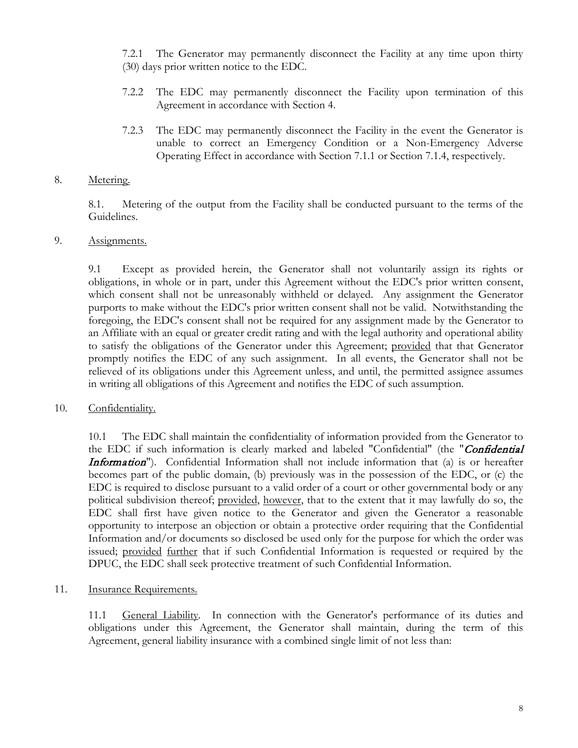7.2.1 The Generator may permanently disconnect the Facility at any time upon thirty (30) days prior written notice to the EDC.

- <span id="page-7-0"></span>7.2.2 The EDC may permanently disconnect the Facility upon termination of this Agreement in accordance with Section [4.](#page-1-1)
- 7.2.3 The EDC may permanently disconnect the Facility in the event the Generator is unable to correct an Emergency Condition or a Non-Emergency Adverse Operating Effect in accordance with Section [7.1.1](#page-5-0) or Section [7.1.4,](#page-6-0) respectively.

#### 8. Metering.

8.1. Metering of the output from the Facility shall be conducted pursuant to the terms of the Guidelines.

#### 9. Assignments.

9.1 Except as provided herein, the Generator shall not voluntarily assign its rights or obligations, in whole or in part, under this Agreement without the EDC's prior written consent, which consent shall not be unreasonably withheld or delayed. Any assignment the Generator purports to make without the EDC's prior written consent shall not be valid. Notwithstanding the foregoing, the EDC's consent shall not be required for any assignment made by the Generator to an Affiliate with an equal or greater credit rating and with the legal authority and operational ability to satisfy the obligations of the Generator under this Agreement; provided that that Generator promptly notifies the EDC of any such assignment. In all events, the Generator shall not be relieved of its obligations under this Agreement unless, and until, the permitted assignee assumes in writing all obligations of this Agreement and notifies the EDC of such assumption.

#### 10. Confidentiality.

10.1 The EDC shall maintain the confidentiality of information provided from the Generator to the EDC if such information is clearly marked and labeled "Confidential" (the "Confidential Information"). Confidential Information shall not include information that (a) is or hereafter becomes part of the public domain, (b) previously was in the possession of the EDC, or (c) the EDC is required to disclose pursuant to a valid order of a court or other governmental body or any political subdivision thereof; provided, however, that to the extent that it may lawfully do so, the EDC shall first have given notice to the Generator and given the Generator a reasonable opportunity to interpose an objection or obtain a protective order requiring that the Confidential Information and/or documents so disclosed be used only for the purpose for which the order was issued; provided further that if such Confidential Information is requested or required by the DPUC, the EDC shall seek protective treatment of such Confidential Information.

#### 11. Insurance Requirements.

11.1 General Liability. In connection with the Generator's performance of its duties and obligations under this Agreement, the Generator shall maintain, during the term of this Agreement, general liability insurance with a combined single limit of not less than: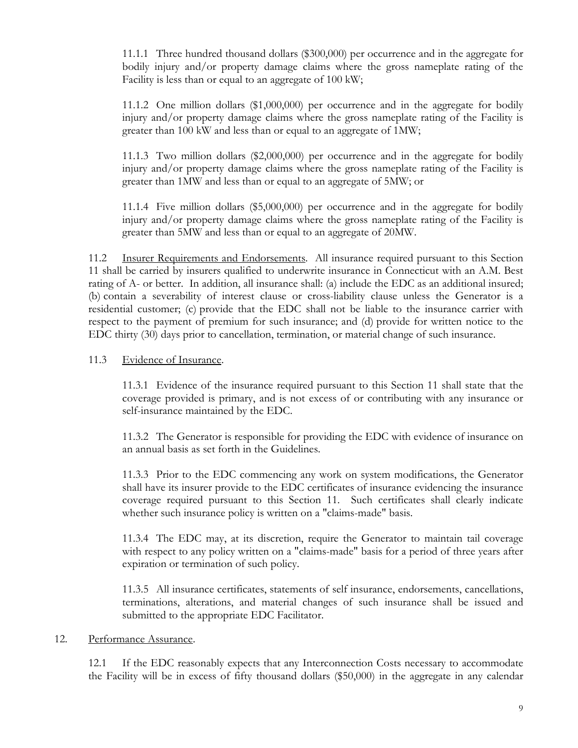11.1.1 Three hundred thousand dollars (\$300,000) per occurrence and in the aggregate for bodily injury and/or property damage claims where the gross nameplate rating of the Facility is less than or equal to an aggregate of 100 kW;

11.1.2 One million dollars (\$1,000,000) per occurrence and in the aggregate for bodily injury and/or property damage claims where the gross nameplate rating of the Facility is greater than 100 kW and less than or equal to an aggregate of 1MW;

11.1.3 Two million dollars (\$2,000,000) per occurrence and in the aggregate for bodily injury and/or property damage claims where the gross nameplate rating of the Facility is greater than 1MW and less than or equal to an aggregate of 5MW; or

11.1.4 Five million dollars (\$5,000,000) per occurrence and in the aggregate for bodily injury and/or property damage claims where the gross nameplate rating of the Facility is greater than 5MW and less than or equal to an aggregate of 20MW.

11.2 Insurer Requirements and Endorsements. All insurance required pursuant to this Section 11 shall be carried by insurers qualified to underwrite insurance in Connecticut with an A.M. Best rating of A- or better. In addition, all insurance shall: (a) include the EDC as an additional insured; (b) contain a severability of interest clause or cross-liability clause unless the Generator is a residential customer; (c) provide that the EDC shall not be liable to the insurance carrier with respect to the payment of premium for such insurance; and (d) provide for written notice to the EDC thirty (30) days prior to cancellation, termination, or material change of such insurance.

#### 11.3 Evidence of Insurance.

11.3.1 Evidence of the insurance required pursuant to this Section 11 shall state that the coverage provided is primary, and is not excess of or contributing with any insurance or self-insurance maintained by the EDC.

11.3.2 The Generator is responsible for providing the EDC with evidence of insurance on an annual basis as set forth in the Guidelines.

11.3.3 Prior to the EDC commencing any work on system modifications, the Generator shall have its insurer provide to the EDC certificates of insurance evidencing the insurance coverage required pursuant to this Section 11. Such certificates shall clearly indicate whether such insurance policy is written on a "claims-made" basis.

11.3.4 The EDC may, at its discretion, require the Generator to maintain tail coverage with respect to any policy written on a "claims-made" basis for a period of three years after expiration or termination of such policy.

11.3.5 All insurance certificates, statements of self insurance, endorsements, cancellations, terminations, alterations, and material changes of such insurance shall be issued and submitted to the appropriate EDC Facilitator.

#### 12. Performance Assurance.

12.1 If the EDC reasonably expects that any Interconnection Costs necessary to accommodate the Facility will be in excess of fifty thousand dollars (\$50,000) in the aggregate in any calendar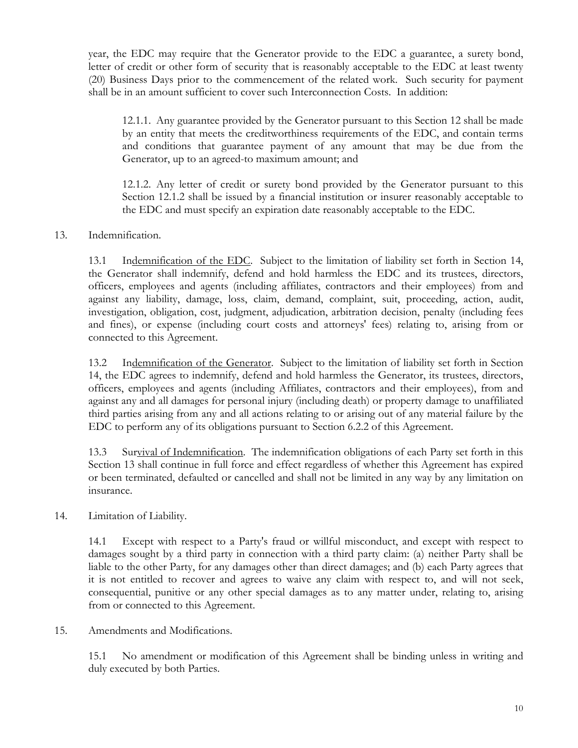year, the EDC may require that the Generator provide to the EDC a guarantee, a surety bond, letter of credit or other form of security that is reasonably acceptable to the EDC at least twenty (20) Business Days prior to the commencement of the related work. Such security for payment shall be in an amount sufficient to cover such Interconnection Costs. In addition:

12.1.1. Any guarantee provided by the Generator pursuant to this Section 12 shall be made by an entity that meets the creditworthiness requirements of the EDC, and contain terms and conditions that guarantee payment of any amount that may be due from the Generator, up to an agreed-to maximum amount; and

12.1.2. Any letter of credit or surety bond provided by the Generator pursuant to this Section 12.1.2 shall be issued by a financial institution or insurer reasonably acceptable to the EDC and must specify an expiration date reasonably acceptable to the EDC.

## <span id="page-9-1"></span>13. Indemnification.

13.1 Indemnification of the EDC. Subject to the limitation of liability set forth in Section [14,](#page-9-0) the Generator shall indemnify, defend and hold harmless the EDC and its trustees, directors, officers, employees and agents (including affiliates, contractors and their employees) from and against any liability, damage, loss, claim, demand, complaint, suit, proceeding, action, audit, investigation, obligation, cost, judgment, adjudication, arbitration decision, penalty (including fees and fines), or expense (including court costs and attorneys' fees) relating to, arising from or connected to this Agreement.

13.2 Indemnification of the Generator. Subject to the limitation of liability set forth in Section [14,](#page-9-0) the EDC agrees to indemnify, defend and hold harmless the Generator, its trustees, directors, officers, employees and agents (including Affiliates, contractors and their employees), from and against any and all damages for personal injury (including death) or property damage to unaffiliated third parties arising from any and all actions relating to or arising out of any material failure by the EDC to perform any of its obligations pursuant to Section 6.2.2 of this Agreement.

13.3 Survival of Indemnification. The indemnification obligations of each Party set forth in this Section [13](#page-9-1) shall continue in full force and effect regardless of whether this Agreement has expired or been terminated, defaulted or cancelled and shall not be limited in any way by any limitation on insurance.

#### <span id="page-9-0"></span>14. Limitation of Liability.

14.1 Except with respect to a Party's fraud or willful misconduct, and except with respect to damages sought by a third party in connection with a third party claim: (a) neither Party shall be liable to the other Party, for any damages other than direct damages; and (b) each Party agrees that it is not entitled to recover and agrees to waive any claim with respect to, and will not seek, consequential, punitive or any other special damages as to any matter under, relating to, arising from or connected to this Agreement.

15. Amendments and Modifications.

15.1 No amendment or modification of this Agreement shall be binding unless in writing and duly executed by both Parties.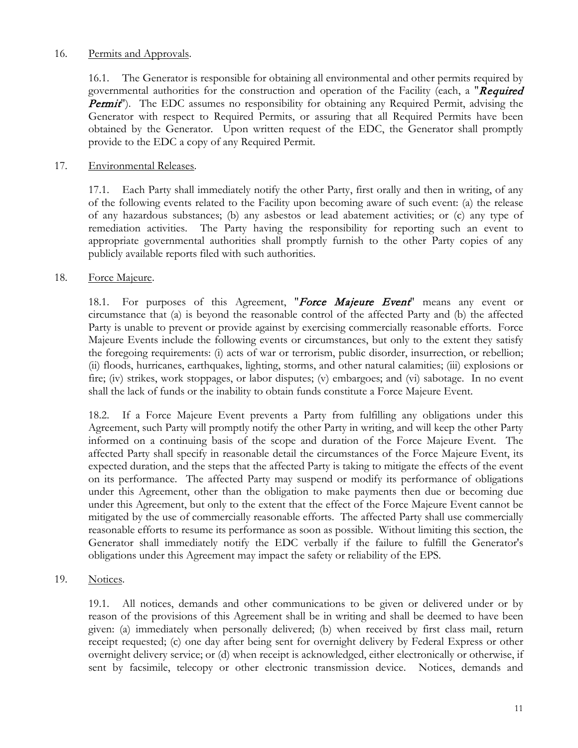#### 16. Permits and Approvals.

16.1. The Generator is responsible for obtaining all environmental and other permits required by governmental authorities for the construction and operation of the Facility (each, a "Required **Permit**"). The EDC assumes no responsibility for obtaining any Required Permit, advising the Generator with respect to Required Permits, or assuring that all Required Permits have been obtained by the Generator. Upon written request of the EDC, the Generator shall promptly provide to the EDC a copy of any Required Permit.

#### 17. Environmental Releases.

17.1. Each Party shall immediately notify the other Party, first orally and then in writing, of any of the following events related to the Facility upon becoming aware of such event: (a) the release of any hazardous substances; (b) any asbestos or lead abatement activities; or (c) any type of remediation activities. The Party having the responsibility for reporting such an event to appropriate governmental authorities shall promptly furnish to the other Party copies of any publicly available reports filed with such authorities.

#### 18. Force Majeure.

18.1. For purposes of this Agreement, "Force Majeure Event" means any event or circumstance that (a) is beyond the reasonable control of the affected Party and (b) the affected Party is unable to prevent or provide against by exercising commercially reasonable efforts. Force Majeure Events include the following events or circumstances, but only to the extent they satisfy the foregoing requirements: (i) acts of war or terrorism, public disorder, insurrection, or rebellion; (ii) floods, hurricanes, earthquakes, lighting, storms, and other natural calamities; (iii) explosions or fire; (iv) strikes, work stoppages, or labor disputes; (v) embargoes; and (vi) sabotage. In no event shall the lack of funds or the inability to obtain funds constitute a Force Majeure Event.

18.2. If a Force Majeure Event prevents a Party from fulfilling any obligations under this Agreement, such Party will promptly notify the other Party in writing, and will keep the other Party informed on a continuing basis of the scope and duration of the Force Majeure Event. The affected Party shall specify in reasonable detail the circumstances of the Force Majeure Event, its expected duration, and the steps that the affected Party is taking to mitigate the effects of the event on its performance. The affected Party may suspend or modify its performance of obligations under this Agreement, other than the obligation to make payments then due or becoming due under this Agreement, but only to the extent that the effect of the Force Majeure Event cannot be mitigated by the use of commercially reasonable efforts. The affected Party shall use commercially reasonable efforts to resume its performance as soon as possible. Without limiting this section, the Generator shall immediately notify the EDC verbally if the failure to fulfill the Generator's obligations under this Agreement may impact the safety or reliability of the EPS.

19. Notices.

19.1. All notices, demands and other communications to be given or delivered under or by reason of the provisions of this Agreement shall be in writing and shall be deemed to have been given: (a) immediately when personally delivered; (b) when received by first class mail, return receipt requested; (c) one day after being sent for overnight delivery by Federal Express or other overnight delivery service; or (d) when receipt is acknowledged, either electronically or otherwise, if sent by facsimile, telecopy or other electronic transmission device. Notices, demands and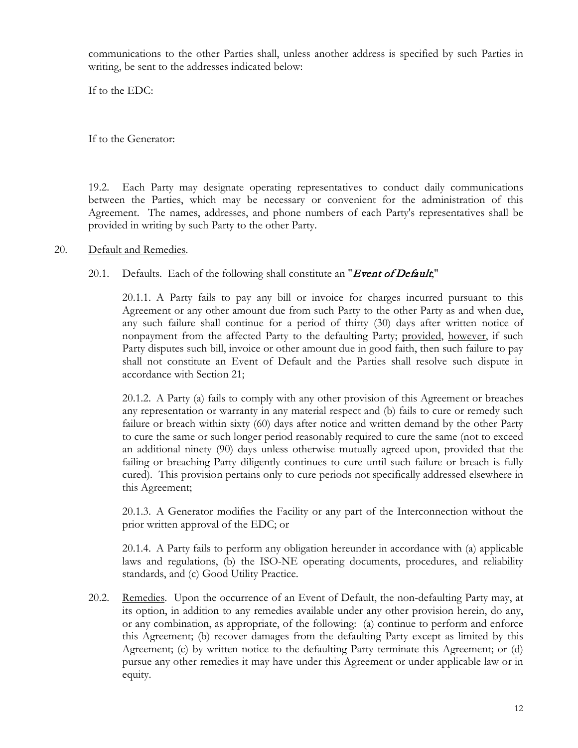communications to the other Parties shall, unless another address is specified by such Parties in writing, be sent to the addresses indicated below:

If to the EDC:

If to the Generator:

19.2. Each Party may designate operating representatives to conduct daily communications between the Parties, which may be necessary or convenient for the administration of this Agreement. The names, addresses, and phone numbers of each Party's representatives shall be provided in writing by such Party to the other Party.

#### <span id="page-11-0"></span>20. Default and Remedies.

## 20.1. Defaults. Each of the following shall constitute an "Event of Default,"

20.1.1. A Party fails to pay any bill or invoice for charges incurred pursuant to this Agreement or any other amount due from such Party to the other Party as and when due, any such failure shall continue for a period of thirty (30) days after written notice of nonpayment from the affected Party to the defaulting Party; provided, however, if such Party disputes such bill, invoice or other amount due in good faith, then such failure to pay shall not constitute an Event of Default and the Parties shall resolve such dispute in accordance with Section [21;](#page-12-0)

20.1.2. A Party (a) fails to comply with any other provision of this Agreement or breaches any representation or warranty in any material respect and (b) fails to cure or remedy such failure or breach within sixty (60) days after notice and written demand by the other Party to cure the same or such longer period reasonably required to cure the same (not to exceed an additional ninety (90) days unless otherwise mutually agreed upon, provided that the failing or breaching Party diligently continues to cure until such failure or breach is fully cured). This provision pertains only to cure periods not specifically addressed elsewhere in this Agreement;

20.1.3. A Generator modifies the Facility or any part of the Interconnection without the prior written approval of the EDC; or

20.1.4. A Party fails to perform any obligation hereunder in accordance with (a) applicable laws and regulations, (b) the ISO-NE operating documents, procedures, and reliability standards, and (c) Good Utility Practice.

<span id="page-11-1"></span>20.2. Remedies. Upon the occurrence of an Event of Default, the non-defaulting Party may, at its option, in addition to any remedies available under any other provision herein, do any, or any combination, as appropriate, of the following: (a) continue to perform and enforce this Agreement; (b) recover damages from the defaulting Party except as limited by this Agreement; (c) by written notice to the defaulting Party terminate this Agreement; or (d) pursue any other remedies it may have under this Agreement or under applicable law or in equity.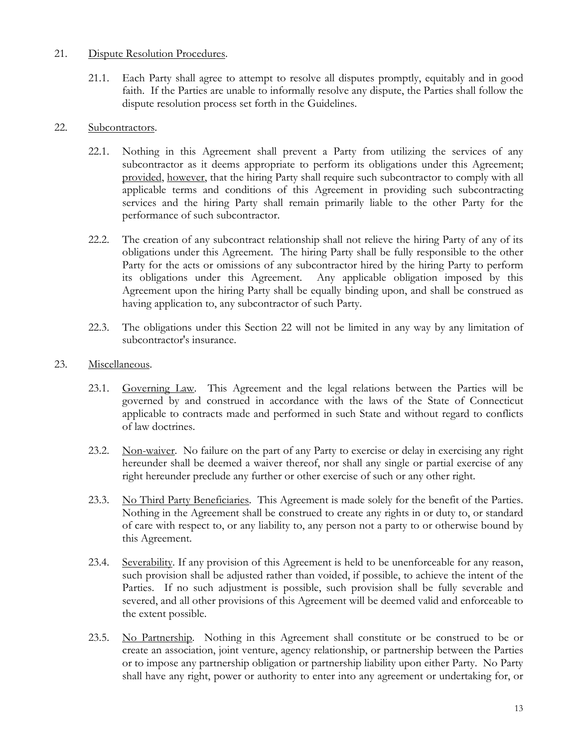#### <span id="page-12-0"></span>21. Dispute Resolution Procedures.

21.1. Each Party shall agree to attempt to resolve all disputes promptly, equitably and in good faith. If the Parties are unable to informally resolve any dispute, the Parties shall follow the dispute resolution process set forth in the Guidelines.

#### <span id="page-12-1"></span>22. Subcontractors.

- 22.1. Nothing in this Agreement shall prevent a Party from utilizing the services of any subcontractor as it deems appropriate to perform its obligations under this Agreement; provided, however, that the hiring Party shall require such subcontractor to comply with all applicable terms and conditions of this Agreement in providing such subcontracting services and the hiring Party shall remain primarily liable to the other Party for the performance of such subcontractor.
- 22.2. The creation of any subcontract relationship shall not relieve the hiring Party of any of its obligations under this Agreement. The hiring Party shall be fully responsible to the other Party for the acts or omissions of any subcontractor hired by the hiring Party to perform its obligations under this Agreement. Any applicable obligation imposed by this Agreement upon the hiring Party shall be equally binding upon, and shall be construed as having application to, any subcontractor of such Party.
- 22.3. The obligations under this Section [22](#page-12-1) will not be limited in any way by any limitation of subcontractor's insurance.

#### 23. Miscellaneous.

- 23.1. Governing Law. This Agreement and the legal relations between the Parties will be governed by and construed in accordance with the laws of the State of Connecticut applicable to contracts made and performed in such State and without regard to conflicts of law doctrines.
- 23.2. Non-waiver. No failure on the part of any Party to exercise or delay in exercising any right hereunder shall be deemed a waiver thereof, nor shall any single or partial exercise of any right hereunder preclude any further or other exercise of such or any other right.
- 23.3. No Third Party Beneficiaries. This Agreement is made solely for the benefit of the Parties. Nothing in the Agreement shall be construed to create any rights in or duty to, or standard of care with respect to, or any liability to, any person not a party to or otherwise bound by this Agreement.
- 23.4. Severability. If any provision of this Agreement is held to be unenforceable for any reason, such provision shall be adjusted rather than voided, if possible, to achieve the intent of the Parties. If no such adjustment is possible, such provision shall be fully severable and severed, and all other provisions of this Agreement will be deemed valid and enforceable to the extent possible.
- 23.5. No Partnership. Nothing in this Agreement shall constitute or be construed to be or create an association, joint venture, agency relationship, or partnership between the Parties or to impose any partnership obligation or partnership liability upon either Party. No Party shall have any right, power or authority to enter into any agreement or undertaking for, or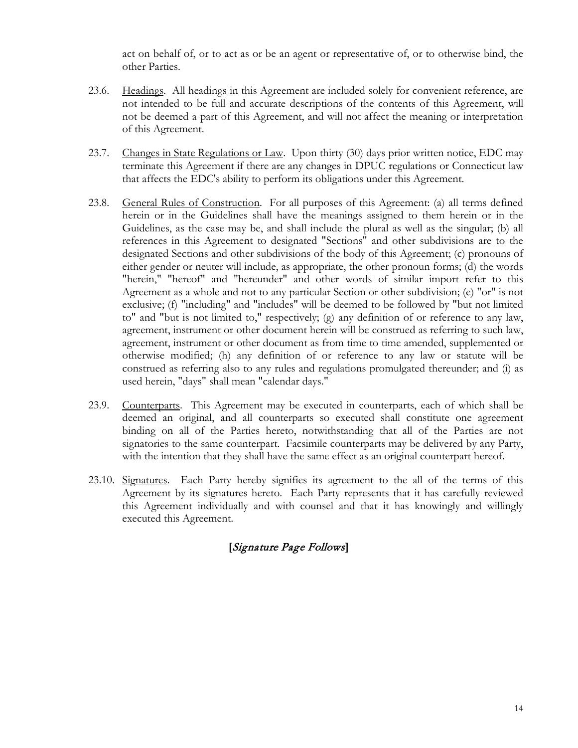act on behalf of, or to act as or be an agent or representative of, or to otherwise bind, the other Parties.

- 23.6. Headings. All headings in this Agreement are included solely for convenient reference, are not intended to be full and accurate descriptions of the contents of this Agreement, will not be deemed a part of this Agreement, and will not affect the meaning or interpretation of this Agreement.
- 23.7. Changes in State Regulations or Law. Upon thirty (30) days prior written notice, EDC may terminate this Agreement if there are any changes in DPUC regulations or Connecticut law that affects the EDC's ability to perform its obligations under this Agreement.
- 23.8. General Rules of Construction. For all purposes of this Agreement: (a) all terms defined herein or in the Guidelines shall have the meanings assigned to them herein or in the Guidelines, as the case may be, and shall include the plural as well as the singular; (b) all references in this Agreement to designated "Sections" and other subdivisions are to the designated Sections and other subdivisions of the body of this Agreement; (c) pronouns of either gender or neuter will include, as appropriate, the other pronoun forms; (d) the words "herein," "hereof" and "hereunder" and other words of similar import refer to this Agreement as a whole and not to any particular Section or other subdivision; (e) "or" is not exclusive; (f) "including" and "includes" will be deemed to be followed by "but not limited to" and "but is not limited to," respectively; (g) any definition of or reference to any law, agreement, instrument or other document herein will be construed as referring to such law, agreement, instrument or other document as from time to time amended, supplemented or otherwise modified; (h) any definition of or reference to any law or statute will be construed as referring also to any rules and regulations promulgated thereunder; and (i) as used herein, "days" shall mean "calendar days."
- 23.9. Counterparts. This Agreement may be executed in counterparts, each of which shall be deemed an original, and all counterparts so executed shall constitute one agreement binding on all of the Parties hereto, notwithstanding that all of the Parties are not signatories to the same counterpart. Facsimile counterparts may be delivered by any Party, with the intention that they shall have the same effect as an original counterpart hereof.
- 23.10. Signatures. Each Party hereby signifies its agreement to the all of the terms of this Agreement by its signatures hereto. Each Party represents that it has carefully reviewed this Agreement individually and with counsel and that it has knowingly and willingly executed this Agreement.

## **[**Signature Page Follows**]**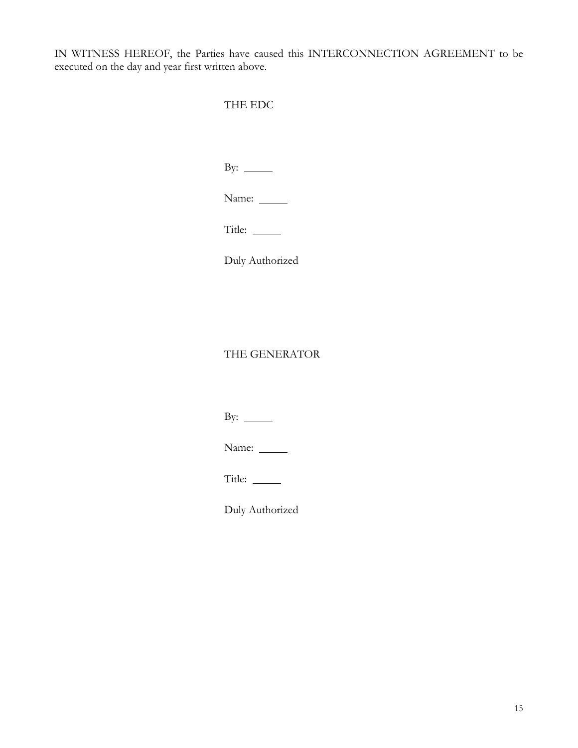IN WITNESS HEREOF, the Parties have caused this INTERCONNECTION AGREEMENT to be executed on the day and year first written above.

## THE EDC

By:  $\_\_$ 

Name:

Title:

Duly Authorized

## THE GENERATOR

By:  $\_\_$ 

Name:

Title:

Duly Authorized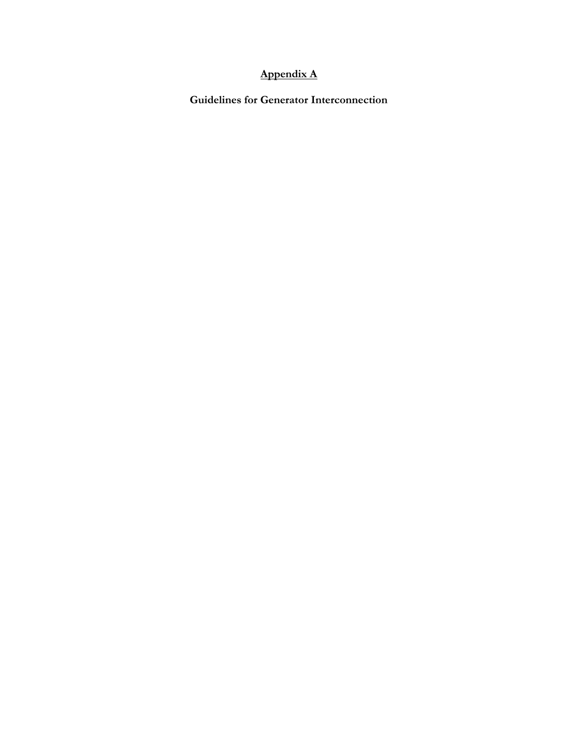## **Appendix A**

**Guidelines for Generator Interconnection**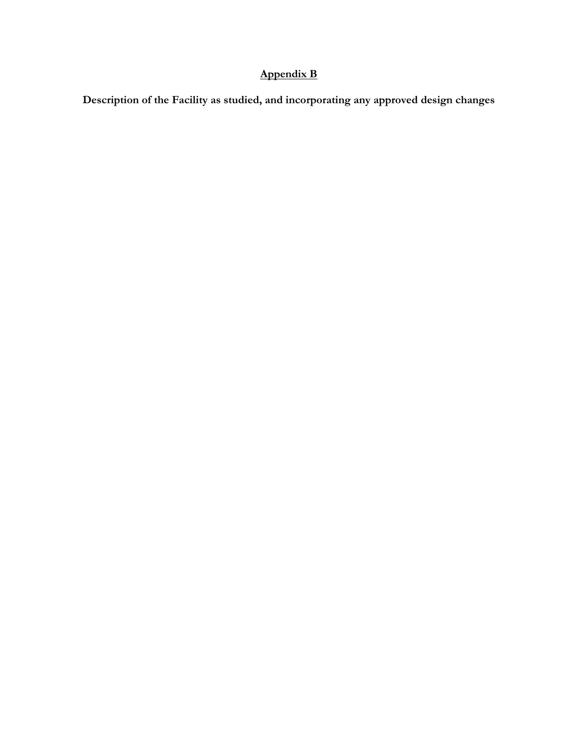# **Appendix B**

**Description of the Facility as studied, and incorporating any approved design changes**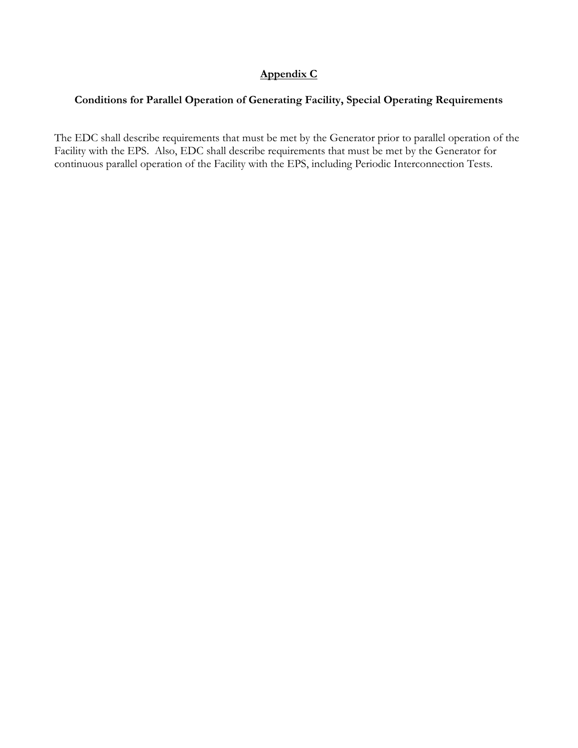## **Appendix C**

## **Conditions for Parallel Operation of Generating Facility, Special Operating Requirements**

The EDC shall describe requirements that must be met by the Generator prior to parallel operation of the Facility with the EPS. Also, EDC shall describe requirements that must be met by the Generator for continuous parallel operation of the Facility with the EPS, including Periodic Interconnection Tests.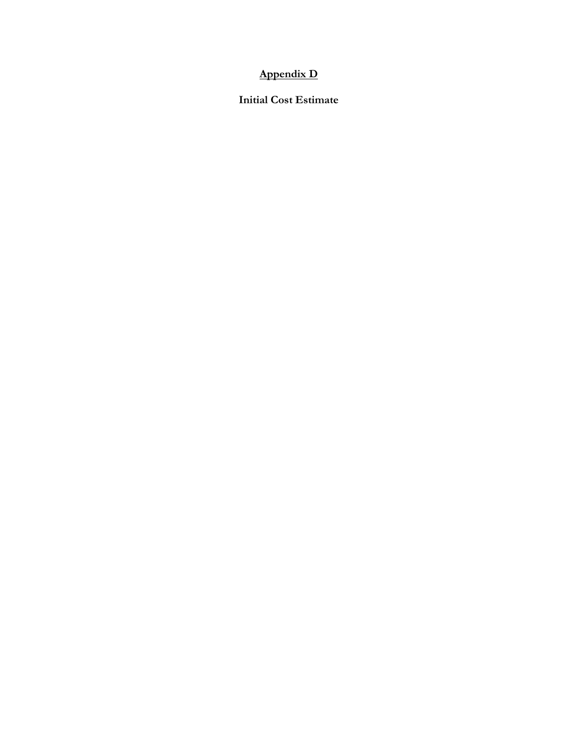## **Appendix D**

**Initial Cost Estimate**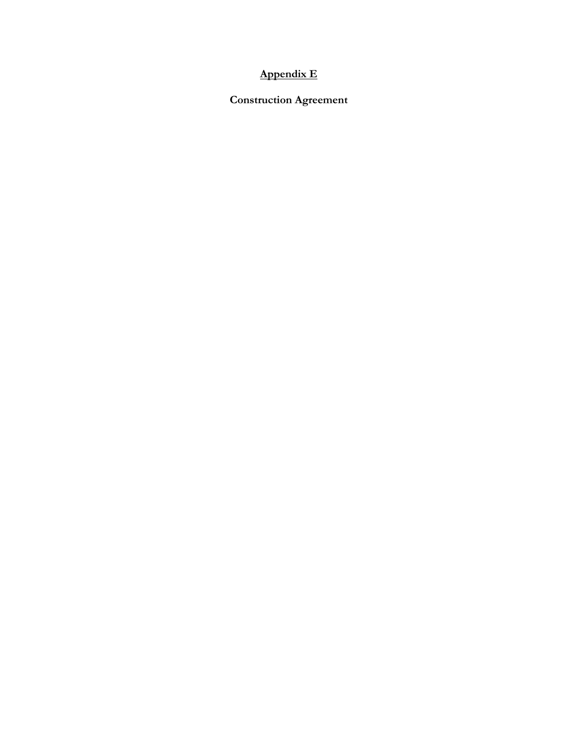# **Appendix E**

**Construction Agreement**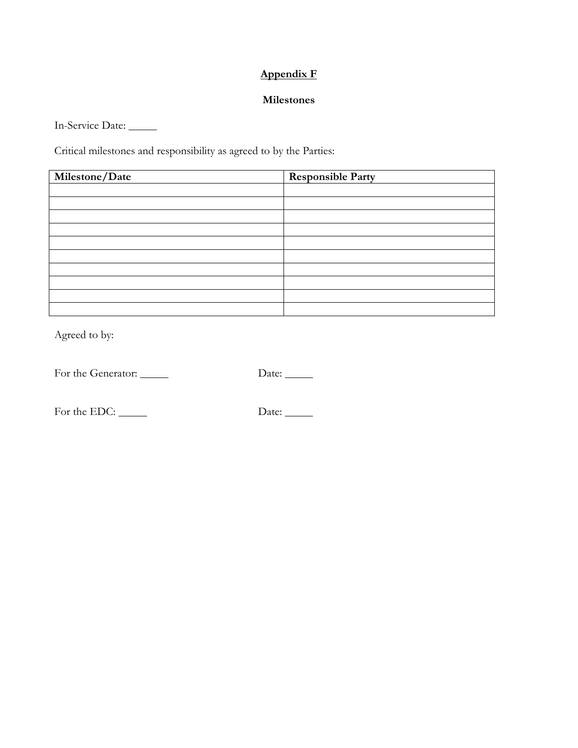# **Appendix F**

#### **Milestones**

In-Service Date:

Critical milestones and responsibility as agreed to by the Parties:

| Milestone/Date | <b>Responsible Party</b> |
|----------------|--------------------------|
|                |                          |
|                |                          |
|                |                          |
|                |                          |
|                |                          |
|                |                          |
|                |                          |
|                |                          |
|                |                          |
|                |                          |

Agreed to by:

For the Generator: Date:

For the EDC: Date: Date: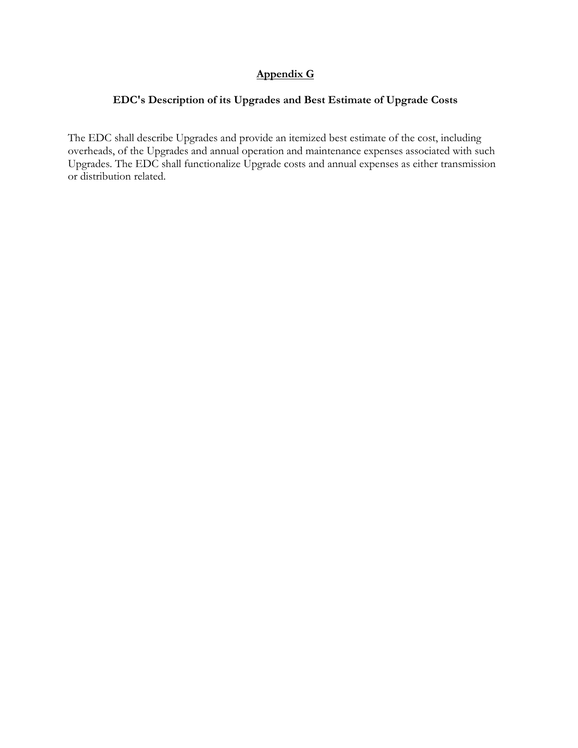## **Appendix G**

## **EDC's Description of its Upgrades and Best Estimate of Upgrade Costs**

The EDC shall describe Upgrades and provide an itemized best estimate of the cost, including overheads, of the Upgrades and annual operation and maintenance expenses associated with such Upgrades. The EDC shall functionalize Upgrade costs and annual expenses as either transmission or distribution related.